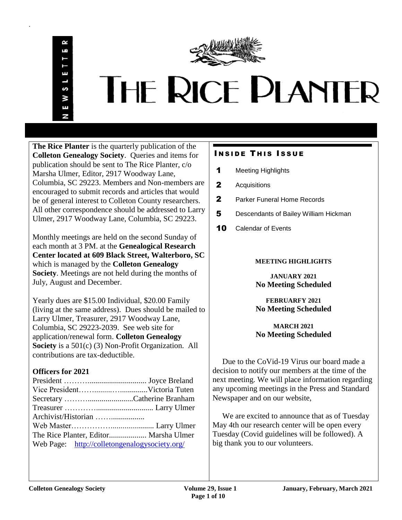.



# THE RICE PLANTER

**The Rice Planter** is the quarterly publication of the **Colleton Genealogy Society**. Queries and items for publication should be sent to The Rice Planter, c/o Marsha Ulmer, Editor, 2917 Woodway Lane, Columbia, SC 29223. Members and Non-members are encouraged to submit records and articles that would be of general interest to Colleton County researchers. All other correspondence should be addressed to Larry Ulmer, 2917 Woodway Lane, Columbia, SC 29223.

Monthly meetings are held on the second Sunday of each month at 3 PM. at the **Genealogical Research Center located at 609 Black Street, Walterboro, SC** which is managed by the **Colleton Genealogy Society**. Meetings are not held during the months of July, August and December.

Yearly dues are \$15.00 Individual, \$20.00 Family (living at the same address). Dues should be mailed to Larry Ulmer, Treasurer, 2917 Woodway Lane, Columbia, SC 29223-2039. See web site for application/renewal form. **Colleton Genealogy Society** is a 501(c) (3) Non-Profit Organization. All contributions are tax-deductible.

# **Officers for 2021**

| Web Page: http://colletongenalogysociety.org/ |  |
|-----------------------------------------------|--|
|                                               |  |

# **INSIDE THIS ISSUE**

- 1 Meeting Highlights
- 2 Acquisitions
- 2 Parker Funeral Home Records
- 5 Descendants of Bailey William Hickman
- 10 Calendar of Events

# **MEETING HIGHLIGHTS**

**JANUARY 2021 No Meeting Scheduled**

**FEBRUARFY 2021 No Meeting Scheduled**

**MARCH 2021 No Meeting Scheduled**

 Due to the CoVid-19 Virus our board made a decision to notify our members at the time of the next meeting. We will place information regarding any upcoming meetings in the Press and Standard Newspaper and on our website,

 We are excited to announce that as of Tuesday May 4th our research center will be open every Tuesday (Covid guidelines will be followed). A big thank you to our volunteers.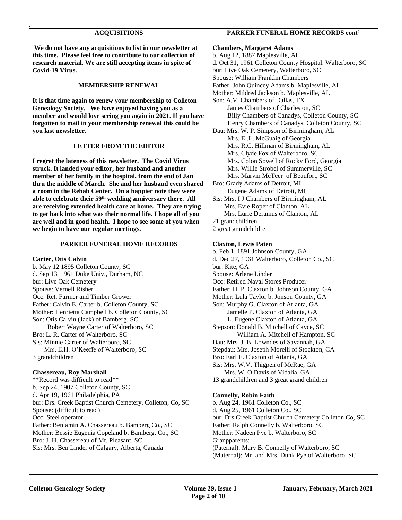#### **ACQUISITIONS**

.

**We do not have any acquisitions to list in our newsletter at this time. Please feel free to contribute to our collection of research material. We are still accepting items in spite of Covid-19 Virus.** 

#### **MEMBERSHIP RENEWAL**

**It is that time again to renew your membership to Colleton Genealogy Society. We have enjoyed having you as a member and would love seeing you again in 2021. If you have forgotten to mail in your membership renewal this could be you last newsletter.**

#### **LETTER FROM THE EDITOR**

**I regret the lateness of this newsletter. The Covid Virus struck. It landed your editor, her husband and another member of her family in the hospital, from the end of Jan thru the middle of March. She and her husband even shared a room in the Rehab Center. On a happier note they were able to celebrate their 59th wedding anniversary there. All are receiving extended health care at home. They are trying to get back into what was their normal life. I hope all of you are well and in good health. I hope to see some of you when we begin to have our regular meetings.** 

#### **PARKER FUNERAL HOME RECORDS**

**Carter, Otis Calvin** b. May 12 1895 Colleton County, SC d. Sep 13, 1961 Duke Univ., Durham, NC bur: Live Oak Cemetery Spouse: Vernell Risher Occ: Ret. Farmer and Timber Grower Father: Calvin E. Carter b. Colleton County, SC Mother: Henrietta Campbell b. Colleton County, SC Son: Otis Calvin (Jack) of Bamberg, SC Robert Wayne Carter of Walterboro, SC Bro: L. R. Carter of Walterboro, SC Sis: Minnie Carter of Walterboro, SC Mrs. E.H. O'Keeffe of Walterboro, SC 3 grandchildren

#### **Chassereau, Roy Marshall**

\*\*Record was difficult to read\*\* b. Sep 24, 1907 Colleton County, SC d. Apr 19, 1961 Philadelphia, PA bur: Drs. Creek Baptist Church Cemetery, Colleton, Co, SC Spouse: (difficult to read) Occ: Steel operator Father: Benjamin A. Chassereau b. Bamberg Co., SC Mother: Bessie Eugenia Copeland b. Bamberg, Co., SC Bro: J. H. Chassereau of Mt. Pleasant, SC Sis: Mrs. Ben Linder of Calgary, Alberta, Canada

## **PARKER FUNERAL HOME RECORDS cont'**

**Chambers, Margaret Adams**  b. Aug 12, 1887 Maplesville, AL d. Oct 31, 1961 Colleton County Hospital, Walterboro, SC bur: Live Oak Cemetery, Walterboro, SC Spouse: William Franklin Chambers Father: John Quincey Adams b. Maplesville, AL Mother: Mildred Jackson b. Maplesville, AL Son: A.V. Chambers of Dallas, TX James Chambers of Charleston, SC Billy Chambers of Canadys, Colleton County, SC Henry Chambers of Canadys, Colleton County, SC Dau: Mrs. W. P. Simpson of Birmingham, AL Mrs. E .L. McGuaig of Georgia Mrs. R.C. Hillman of Birmingham, AL Mrs. Clyde Fox of Walterboro, SC Mrs. Colon Sowell of Rocky Ford, Georgia Mrs. Willie Strobel of Summerville, SC Mrs. Marvin McTeer of Beaufort, SC Bro: Grady Adams of Detroit, MI Eugene Adams of Detroit, MI Sis: Mrs. I J Chambers of Birmingham, AL Mrs. Evie Roper of Clanton, AL Mrs. Lurie Deramus of Clanton, AL 21 grandchildren 2 great grandchildren **Claxton, Lewis Paten**

b. Feb 1, 1891 Johnson County, GA d. Dec 27, 1961 Walterboro, Colleton Co., SC bur: Kite, GA Spouse: Arlene Linder Occ: Retired Naval Stores Producer Father: H. P. Claxton b. Johnson County, GA Mother: Lula Taylor b. Jonson County, GA Son: Murphy G. Claxton of Atlanta, GA Jamelle P. Claxton of Atlanta, GA L. Eugene Claxton of Atlanta, GA Stepson: Donald B. Mitchell of Cayce, SC William A. Mitchell of Hampton, SC Dau: Mrs. J. B. Lowndes of Savannah, GA Stepdau: Mrs. Joseph Morelli of Stockton, CA Bro: Earl E. Claxton of Atlanta, GA Sis: Mrs. W.V. Thigpen of McRae, GA Mrs. W. O Davis of Vidalia, GA 13 grandchildren and 3 great grand children

#### **Connelly, Robin Faith**

b. Aug 24, 1961 Colleton Co., SC d. Aug 25, 1961 Colleton Co., SC bur: Drs Creek Baptist Church Cemetery Colleton Co, SC Father: Ralph Connelly b. Walterboro, SC Mother: Nadeen Pye b. Walterboro, SC Granpparents: (Paternal): Mary B. Connelly of Walterboro, SC (Maternal): Mr. and Mrs. Dunk Pye of Walterboro, SC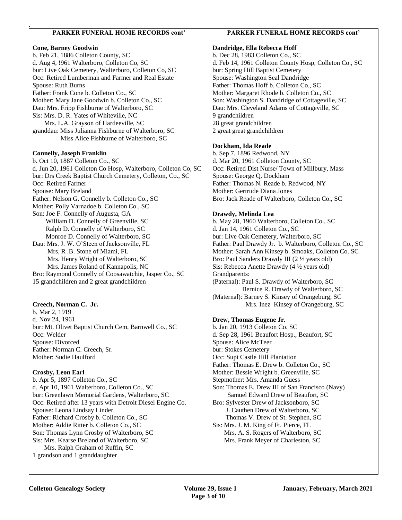# **PARKER FUNERAL HOME RECORDS cont'**

#### **Cone, Barney Goodwin**

.

b. Feb 21, 1886 Colleton County, SC d. Aug 4, !961 Walterboro, Colleton Co, SC bur: Live Oak Cemetery, Walterboro, Colleton Co, SC Occ: Retired Lumberman and Farmer and Real Estate Spouse: Ruth Burns Father: Frank Cone b. Colleton Co., SC Mother: Mary Jane Goodwin b. Colleton Co., SC Dau: Mrs. Fripp Fishburne of Walterboro, SC Sis: Mrs. D. R. Yates of Whiteville, NC Mrs. L.A. Grayson of Hardeeville, SC granddau: Miss Julianna Fishburne of Walterboro, SC Miss Alice Fishburne of Walterboro, SC

### **Connelly, Joseph Franklin**

b. Oct 10, 1887 Colleton Co., SC d. Jun 20, 1961 Colleton Co Hosp, Walterboro, Colleton Co, SC bur: Drs Creek Baptist Church Cemetery, Colleton, Co., SC Occ: Retired Farmer Spouse: Mary Breland Father: Nelson G. Connelly b. Colleton Co., SC Mother: Polly Varnadoe b. Colleton Co., SC Son: Joe F. Connelly of Augusta, GA William D. Connelly of Greenville, SC Ralph D. Connelly of Walterboro, SC Monroe D. Connelly of Walterboro, SC Dau: Mrs. J. W. O'Steen of Jacksonville, FL Mrs. R .B. Stone of Miami, FL Mrs. Henry Wright of Walterboro, SC Mrs. James Roland of Kannapolis, NC Bro: Raymond Connelly of Coosawatchie, Jasper Co., SC 15 grandchildren and 2 great grandchildren

## **Creech, Norman C. Jr.**

b. Mar 2, 1919 d. Nov 24, 1961 bur: Mt. Olivet Baptist Church Cem, Barnwell Co., SC Occ: Welder Spouse: Divorced Father: Norman C. Creech, Sr. Mother: Sudie Haulford

#### **Crosby, Leon Earl**

b. Apr 5, 1897 Colleton Co., SC d. Apr 10, 1961 Walterboro, Colleton Co., SC bur: Greenlawn Memorial Gardens, Walterboro, SC Occ: Retired after 13 years with Detroit Diesel Engine Co. Spouse: Leona Lindsay Linder Father: Richard Crosby b. Colleton Co., SC Mother: Addie Ritter b. Colleton Co., SC Son: Thomas Lynn Crosby of Walterboro, SC Sis: Mrs. Kearse Breland of Walterboro, SC Mrs. Ralph Graham of Ruffin, SC 1 grandson and 1 granddaughter

## **PARKER FUNERAL HOME RECORDS cont'**

#### **Dandridge, Ella Rebecca Hoff**

b. Dec 28, 1983 Colleton Co., SC d. Feb 14, 1961 Colleton County Hosp, Colleton Co., SC bur: Spring Hill Baptist Cemetery Spouse: Washington Seal Dandridge Father: Thomas Hoff b. Colleton Co., SC Mother: Margaret Rhode b. Colleton Co., SC Son: Washington S. Dandridge of Cottageville, SC Dau: Mrs. Cleveland Adams of Cottageville, SC 9 grandchildren 28 great grandchildren 2 great great grandchildren

#### **Dockham, Ida Reade**

b. Sep 7, 1896 Redwood, NY d. Mar 20, 1961 Colleton County, SC Occ: Retired Dist Nurse/ Town of Millbury, Mass Spouse: George Q. Dockham Father: Thomas N. Reade b. Redwood, NY Mother: Gertrude Diana Jones Bro: Jack Reade of Walterboro, Colleton Co., SC

#### **Drawdy, Melinda Lea**

b. May 28, 1960 Walterboro, Colleton Co., SC d. Jan 14, 1961 Colleton Co., SC bur: Live Oak Cemetery, Walterboro, SC Father: Paul Drawdy Jr. b. Walterboro, Colleton Co., SC Mother: Sarah Ann Kinsey b. Smoaks, Colleton Co. SC Bro: Paul Sanders Drawdy III (2 ½ years old) Sis: Rebecca Anette Drawdy (4 ½ years old) Grandparents: (Paternal): Paul S. Drawdy of Walterboro, SC Bernice R. Drawdy of Walterboro, SC (Maternal): Barney S. Kinsey of Orangeburg, SC Mrs. Inez Kinsey of Orangeburg, SC

#### **Drew, Thomas Eugene Jr.**

b. Jan 20, 1913 Colleton Co. SC d. Sep 28, 1961 Beaufort Hosp., Beaufort, SC Spouse: Alice McTeer bur: Stokes Cemetery Occ: Supt Castle Hill Plantation Father: Thomas E. Drew b. Colleton Co., SC Mother: Bessie Wright b. Greenville, SC Stepmother: Mrs. Amanda Guess Son: Thomas E. Drew III of San Francisco (Navy) Samuel Edward Drew of Beaufort, SC Bro: Sylvester Drew of Jacksonboro, SC J. Cauthen Drew of Walterboro, SC Thomas V. Drew of St. Stephen, SC Sis: Mrs. J. M. King of Ft. Pierce, FL Mrs. A. S. Rogers of Walterboro, SC Mrs. Frank Meyer of Charleston, SC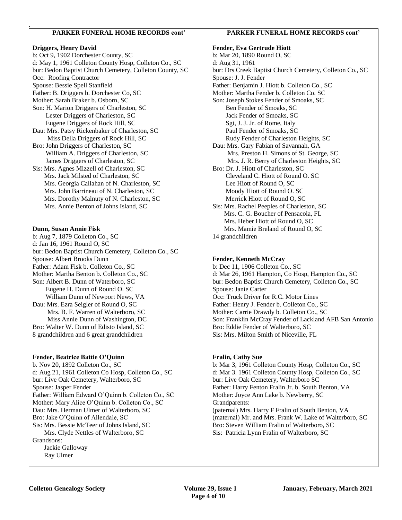## **PARKER FUNERAL HOME RECORDS cont'**

#### **Driggers, Henry David**

.

b: Oct 9, 1902 Dorchester County, SC d: May 1, 1961 Colleton County Hosp, Colleton Co., SC bur: Bedon Baptist Church Cemetery, Colleton County, SC Occ: Roofing Contractor Spouse: Bessie Spell Stanfield Father: B. Driggers b. Dorchester Co, SC Mother: Sarah Braker b. Osborn, SC Son: H. Marion Driggers of Charleston, SC Lester Driggers of Charleston, SC Eugene Driggers of Rock Hill, SC Dau: Mrs. Patsy Rickenbaker of Charleston, SC Miss Della Driggers of Rock Hill, SC Bro: John Driggers of Charleston, SC William A. Driggers of Charleston, SC James Driggers of Charleston, SC Sis: Mrs. Agnes Mizzell of Charleston, SC Mrs. Jack Milsted of Charleston, SC Mrs. Georgia Callahan of N. Charleston, SC Mrs. John Barrineau of N. Charleston, SC Mrs. Dorothy Malnuty of N. Charleston, SC Mrs. Annie Benton of Johns Island, SC

#### **Dunn, Susan Annie Fisk**

b: Aug 7, 1879 Colleton Co., SC d: Jan 16, 1961 Round O, SC bur: Bedon Baptist Church Cemetery, Colleton Co., SC Spouse: Albert Brooks Dunn Father: Adam Fisk b. Colleton Co., SC Mother: Martha Benton b. Colleton Co., SC Son: Albert B. Dunn of Waterboro, SC Eugene H. Dunn of Round O. SC William Dunn of Newport News, VA Dau: Mrs. Ezra Seigler of Round O, SC Mrs. B. F. Warren of Walterboro, SC Miss Annie Dunn of Washington, DC Bro: Walter W. Dunn of Edisto Island, SC 8 grandchildren and 6 great grandchildren

#### **Fender, Beatrice Battie O'Quinn**

b. Nov 20, 1892 Colleton Co., SC d: Aug 21, 1961 Colleton Co Hosp, Colleton Co., SC bur: Live Oak Cemetery, Walterboro, SC Spouse: Jasper Fender Father: William Edward O'Quinn b. Colleton Co., SC Mother: Mary Alice O'Quinn b. Colleton Co., SC Dau: Mrs. Herman Ulmer of Walterboro, SC Bro: Jake O'Quinn of Allendale, SC Sis: Mrs. Bessie McTeer of Johns Island, SC Mrs. Clyde Nettles of Walterboro, SC Grandsons: Jackie Galloway Ray Ulmer

#### **PARKER FUNERAL HOME RECORDS cont'**

**Fender, Eva Gertrude Hiott** b: Mar 20, 1890 Round O, SC d: Aug 31, 1961 bur: Drs Creek Baptist Church Cemetery, Colleton Co., SC Spouse: J. J. Fender Father: Benjamin J. Hiott b. Colleton Co., SC Mother: Martha Fender b. Colleton Co. SC Son: Joseph Stokes Fender of Smoaks, SC Ben Fender of Smoaks, SC Jack Fender of Smoaks, SC Sgt, J. J. Jr. of Rome, Italy Paul Fender of Smoaks, SC Rudy Fender of Charleston Heights, SC Dau: Mrs. Gary Fabian of Savannah, GA Mrs. Preston H. Simons of St. George, SC Mrs. J. R. Berry of Charleston Heights, SC Bro: Dr. J. Hiott of Charleston, SC Cleveland C. Hiott of Round O. SC Lee Hiott of Round O, SC Moody Hiott of Round O. SC Merrick Hiott of Round O, SC Sis: Mrs. Rachel Peeples of Charleston, SC Mrs. C. G. Boucher of Pensacola, FL Mrs. Heber Hiott of Round O, SC Mrs. Mamie Breland of Round O, SC 14 grandchildren

#### **Fender, Kenneth McCray**

b: Dec 11, 1906 Colleton Co., SC d: Mar 26, 1961 Hampton, Co Hosp, Hampton Co., SC bur: Bedon Baptist Church Cemetery, Colleton Co., SC Spouse: Janie Carter Occ: Truck Driver for R.C. Motor Lines Father: Henry J. Fender b. Colleton Co., SC Mother: Carrie Drawdy b. Colleton Co., SC Son: Franklin McCray Fender of Lackland AFB San Antonio Bro: Eddie Fender of Walterboro, SC Sis: Mrs. Milton Smith of Niceville, FL

#### **Fralin, Cathy Sue**

b: Mar 3, 1961 Colleton County Hosp, Colleton Co., SC d: Mar 3. 1961 Colleton County Hosp, Colleton Co., SC bur: Live Oak Cemetery, Walterboro SC Father: Harry Fenton Fralin Jr. b. South Benton, VA Mother: Joyce Ann Lake b. Newberry, SC Grandparents: (paternal) Mrs. Harry F Fralin of South Benton, VA (maternal) Mr. and Mrs. Frank W. Lake of Walterboro, SC Bro: Steven William Fralin of Walterboro, SC Sis: Patricia Lynn Fralin of Walterboro, SC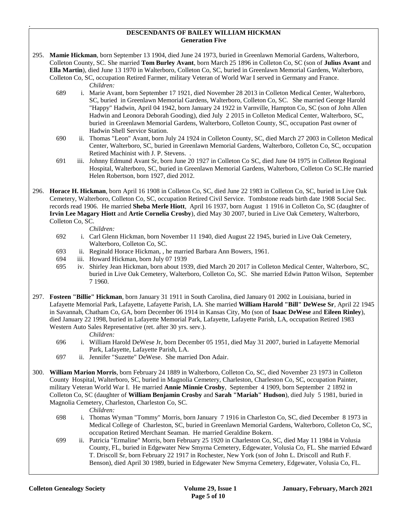#### **DESCENDANTS OF BAILEY WILLIAM HICKMAN Generation Five**

295. **Mamie Hickman**, born September 13 1904, died June 24 1973, buried in Greenlawn Memorial Gardens, Walterboro, Colleton County, SC. She married **Tom Burley Avant**, born March 25 1896 in Colleton Co, SC (son of **Julius Avant** and **Ella Martin**), died June 13 1970 in Walterboro, Colleton Co, SC, buried in Greenlawn Memorial Gardens, Walterboro, Colleton Co, SC, occupation Retired Farmer, military Veteran of World War I served in Germany and France.

*Children:*

.

- 689 i. Marie Avant, born September 17 1921, died November 28 2013 in Colleton Medical Center, Walterboro, SC, buried in Greenlawn Memorial Gardens, Walterboro, Colleton Co, SC. She married George Harold "Happy" Hadwin, April 04 1942, born January 24 1922 in Varnville, Hampton Co, SC (son of John Allen Hadwin and Leonora Deborah Gooding), died July 2 2015 in Colleton Medical Center, Walterboro, SC, buried in Greenlawn Memorial Gardens, Walterboro, Colleton County, SC, occupation Past owner of Hadwin Shell Service Station.
- 690 ii. Thomas "Leon" Avant, born July 24 1924 in Colleton County, SC, died March 27 2003 in Colleton Medical Center, Walterboro, SC, buried in Greenlawn Memorial Gardens, Walterboro, Colleton Co, SC, occupation Retired Machinist with J. P. Stevens. .
- 691 iii. Johnny Edmund Avant Sr, born June 20 1927 in Colleton Co SC, died June 04 1975 in Colleton Regional Hospital, Walterboro, SC, buried in Greenlawn Memorial Gardens, Walterboro, Colleton Co SC.He married Helen Robertson, born 1927, died 2012.

296. **Horace H. Hickman**, born April 16 1908 in Colleton Co, SC, died June 22 1983 in Colleton Co, SC, buried in Live Oak Cemetery, Walterboro, Colleton Co, SC, occupation Retired Civil Service. Tombstone reads birth date 1908 Social Sec. records read 1906. He married **Sheba Merle Hiott**, April 16 1937, born August 1 1916 in Colleton Co, SC (daughter of **Irvin Lee Magary Hiott** and **Artie Cornelia Crosby**), died May 30 2007, buried in Live Oak Cemetery, Walterboro, Colleton Co, SC.

*Children:*

- 692 i. Carl Glenn Hickman, born November 11 1940, died August 22 1945, buried in Live Oak Cemetery, Walterboro, Colleton Co, SC.
- 693 ii. Reginald Horace Hickman, , he married Barbara Ann Bowers, 1961.
- 694 iii. Howard Hickman, born July 07 1939
- 695 iv. Shirley Jean Hickman, born about 1939, died March 20 2017 in Colleton Medical Center, Walterboro, SC, buried in Live Oak Cemetery, Walterboro, Colleton Co, SC. She married Edwin Patton Wilson, September 7 1960.
- 297. **Fosteen "Billie" Hickman**, born January 31 1911 in South Carolina, died January 01 2002 in Louisiana, buried in Lafayette Memorial Park, Lafayette, Lafayette Parish, LA. She married **William Harold "Bill" DeWese Sr**, April 22 1945 in Savannah, Chatham Co, GA, born December 06 1914 in Kansas City, Mo (son of **Isaac DeWese** and **Eileen Rinley**), died January 22 1998, buried in Lafayette Memorial Park, Lafayette, Lafayette Parish, LA, occupation Retired 1983 Western Auto Sales Representative (ret. after 30 yrs. serv.).

#### *Children:*

- 696 i. William Harold DeWese Jr, born December 05 1951, died May 31 2007, buried in Lafayette Memorial Park, Lafayette, Lafayette Parish, LA.
- 697 ii. Jennifer "Suzette" DeWese. She married Don Adair.
- 300. **William Marion Morris**, born February 24 1889 in Walterboro, Colleton Co, SC, died November 23 1973 in Colleton County Hospital, Walterboro, SC, buried in Magnolia Cemetery, Charleston, Charleston Co, SC, occupation Painter, military Veteran World War I. He married **Annie Minnie Crosby**, September 4 1909, born September 2 1892 in Colleton Co, SC (daughter of **William Benjamin Crosby** and **Sarah "Mariah" Hudson**), died July 5 1981, buried in Magnolia Cemetery, Charleston, Charleston Co, SC.

- 698 i. Thomas Wyman "Tommy" Morris, born January 7 1916 in Charleston Co, SC, died December 8 1973 in Medical College of Charleston, SC, buried in Greenlawn Memorial Gardens, Walterboro, Colleton Co, SC, occupation Retired Merchant Seaman. He married Geraldine Bokern.
- 699 ii. Patricia "Ermaline" Morris, born February 25 1920 in Charleston Co, SC, died May 11 1984 in Volusia County, FL, buried in Edgewater New Smyrna Cemetery, Edgewater, Volusia Co, FL. She married Edward T. Driscoll Sr, born February 22 1917 in Rochester, New York (son of John L. Driscoll and Ruth F. Benson), died April 30 1989, buried in Edgewater New Smyrna Cemetery, Edgewater, Volusia Co, FL.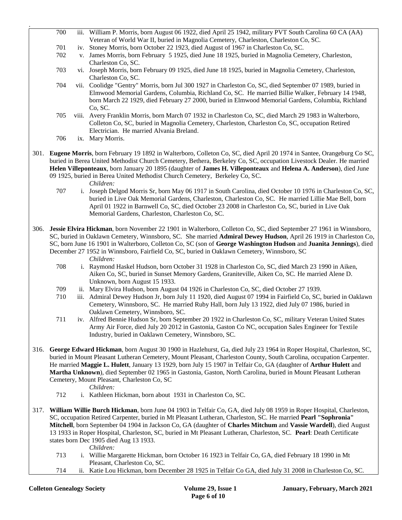**Colleton Genealogy Society Volume 29, Issue 1 January, February, March 2021**  700 iii. William P. Morris, born August 06 1922, died April 25 1942, military PVT South Carolina 60 CA (AA) Veteran of World War II, buried in Magnolia Cemetery, Charleston, Charleston Co, SC. 701 iv. Stoney Morris, born October 22 1923, died August of 1967 in Charleston Co, SC. 702 v. James Morris, born February 5 1925, died June 18 1925, buried in Magnolia Cemetery, Charleston, Charleston Co, SC. 703 vi. Joseph Morris, born February 09 1925, died June 18 1925, buried in Magnolia Cemetery, Charleston, Charleston Co, SC. 704 vii. Coolidge "Gentry" Morris, born Jul 300 1927 in Charleston Co, SC, died September 07 1989, buried in Elmwood Memorial Gardens, Columbia, Richland Co, SC. He married Billie Walker, February 14 1948, born March 22 1929, died February 27 2000, buried in Elmwood Memorial Gardens, Columbia, Richland Co, SC. 705 viii. Avery Franklin Morris, born March 07 1932 in Charleston Co, SC, died March 29 1983 in Walterboro, Colleton Co, SC, buried in Magnolia Cemetery, Charleston, Charleston Co, SC, occupation Retired Electrician. He married Alvania Breland. 706 ix. Mary Morris. 301. **Eugene Morris**, born February 19 1892 in Walterboro, Colleton Co, SC, died April 20 1974 in Santee, Orangeburg Co SC, buried in Berea United Methodist Church Cemetery, Bethera, Berkeley Co, SC, occupation Livestock Dealer. He married **Helen Villeponteaux**, born January 20 1895 (daughter of **James H. Villeponteaux** and **Helena A. Anderson**), died June 09 1925, buried in Berea United Methodist Church Cemetery, Berkeley Co, SC. *Children:* 707 i. Joseph Delgod Morris Sr, born May 06 1917 in South Carolina, died October 10 1976 in Charleston Co, SC, buried in Live Oak Memorial Gardens, Charleston, Charleston Co, SC. He married Lillie Mae Bell, born April 01 1922 in Barnwell Co, SC, died October 23 2008 in Charleston Co, SC, buried in Live Oak Memorial Gardens, Charleston, Charleston Co, SC. 306. **Jessie Elvira Hickman**, born November 22 1901 in Walterboro, Colleton Co, SC, died September 27 1961 in Winnsboro, SC, buried in Oaklawn Cemetery, Winnsboro, SC. She married **Admiral Dewey Hudson**, April 26 1919 in Charleston Co, SC, born June 16 1901 in Walterboro, Colleton Co, SC (son of **George Washington Hudson** and **Juanita Jennings**), died December 27 1952 in Winnsboro, Fairfield Co, SC, buried in Oaklawn Cemetery, Winnsboro, SC *Children:* 708 i. Raymond Haskel Hudson, born October 31 1928 in Charleston Co, SC, died March 23 1990 in Aiken, Aiken Co, SC, buried in Sunset Memory Gardens, Graniteville, Aiken Co, SC. He married Alene D. Unknown, born August 15 1933. 709 ii. Mary Elvira Hudson, born August 04 1926 in Charleston Co, SC, died October 27 1939. 710 iii. Admiral Dewey Hudson Jr, born July 11 1920, died August 07 1994 in Fairfield Co, SC, buried in Oaklawn Cemetery, Winnsboro, SC. He married Ruby Hall, born July 13 1922, died July 07 1986, buried in Oaklawn Cemetery, Winnsboro, SC. 711 iv. Alfred Bennie Hudson Sr, born September 20 1922 in Charleston Co, SC, military Veteran United States Army Air Force, died July 20 2012 in Gastonia, Gaston Co NC, occupation Sales Engineer for Textile Industry, buried in Oaklawn Cemetery, Winnsboro, SC. 316. **George Edward Hickman**, born August 30 1900 in Hazlehurst, Ga, died July 23 1964 in Roper Hospital, Charleston, SC, buried in Mount Pleasant Lutheran Cemetery, Mount Pleasant, Charleston County, South Carolina, occupation Carpenter. He married **Maggie L. Hulett**, January 13 1929, born July 15 1907 in Telfair Co, GA (daughter of **Arthur Hulett** and **Martha Unknown**), died September 02 1965 in Gastonia, Gaston, North Carolina, buried in Mount Pleasant Lutheran Cemetery, Mount Pleasant, Charleston Co, SC *Children:* 712 i. Kathleen Hickman, born about 1931 in Charleston Co, SC. 317. **William Willie Burch Hickman**, born June 04 1903 in Telfair Co, GA, died July 08 1959 in Roper Hospital, Charleston, SC, occupation Retired Carpenter, buried in Mt Pleasant Lutheran, Charleston, SC. He married **Pearl "Sophronia" Mitchell**, born September 04 1904 in Jackson Co, GA (daughter of **Charles Mitchum** and **Vassie Wardell**), died August 13 1933 in Roper Hospital, Charleston, SC, buried in Mt Pleasant Lutheran, Charleston, SC. **Pearl**: Death Certificate states born Dec 1905 died Aug 13 1933. *Children:* 713 i. Willie Margarette Hickman, born October 16 1923 in Telfair Co, GA, died February 18 1990 in Mt Pleasant, Charleston Co, SC. 714 ii. Katie Lou Hickman, born December 28 1925 in Telfair Co GA, died July 31 2008 in Charleston Co, SC.

.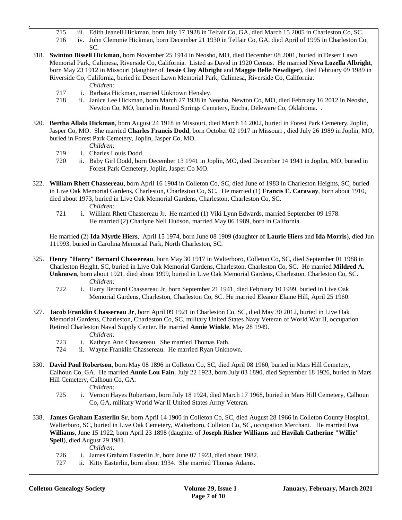- 715 iii. Edith Jeanell Hickman, born July 17 1928 in Telfair Co, GA, died March 15 2005 in Charleston Co, SC.
- 716 iv. John Clemmie Hickman, born December 21 1930 in Telfair Co, GA, died April of 1995 in Charleston Co, SC.
- 318. **Swinton Bissell Hickman**, born November 25 1914 in Neosho, MO, died December 08 2001, buried in Desert Lawn Memorial Park, Calimesa, Riverside Co, California. Listed as David in 1920 Census. He married **Neva Lozella Albright**, born May 23 1912 in Missouri (daughter of **Jessie Clay Albright** and **Maggie Belle Newdiger**), died February 09 1989 in Riverside Co, California, buried in Desert Lawn Memorial Park, Calimesa, Riverside Co, California.
	- *Children:*

.

- 717 i. Barbara Hickman, married Unknown Hensley.
- 718 ii. Janice Lee Hickman, born March 27 1938 in Neosho, Newton Co, MO, died February 16 2012 in Neosho, Newton Co, MO, buried in Round Springs Cemetery, Eucha, Deleware Co, Oklahoma. .
- 320. **Bertha Allala Hickman**, born August 24 1918 in Missouri, died March 14 2002, buried in Forest Park Cemetery, Joplin, Jasper Co, MO. She married **Charles Francis Dodd**, born October 02 1917 in Missouri , died July 26 1989 in Joplin, MO, buried in Forest Park Cemetery, Joplin, Jasper Co, MO.

*Children:*

- 719 i. Charles Louis Dodd.
- 720 ii. Baby Girl Dodd, born December 13 1941 in Joplin, MO, died December 14 1941 in Joplin, MO, buried in Forest Park Cemetery, Joplin, Jasper Co MO.
- 322. **William Rhett Chassereau**, born April 16 1904 in Colleton Co, SC, died June of 1983 in Charleston Heights, SC, buried in Live Oak Memorial Gardens, Charleston, Charleston Co, SC. He married (1) **Francis E. Caraway**, born about 1910, died about 1973, buried in Live Oak Memorial Gardens, Charleston, Charleston Co, SC.

*Children:*

 721 i. William Rhett Chassereau Jr. He married (1) Viki Lynn Edwards, married September 09 1978. He married (2) Charlyne Nell Hudson, married May 06 1989, born in California.

He married (2) **Ida Myrtle Hiers**, April 15 1974, born June 08 1909 (daughter of **Laurie Hiers** and **Ida Morris**), died Jun 111993, buried in Carolina Memorial Park, North Charleston, SC.

- 325. **Henry "Harry" Bernard Chassereau**, born May 30 1917 in Walterboro, Colleton Co, SC, died September 01 1988 in Charleston Height, SC, buried in Live Oak Memorial Gardens, Charleston, Charleston Co, SC. He married **Mildred A. Unknown**, born about 1921, died about 1999, buried in Live Oak Memorial Gardens, Charleston, Charleston Co, SC. *Children:*
	- 722 i. Harry Bernard Chassereau Jr, born September 21 1941, died February 10 1999, buried in Live Oak Memorial Gardens, Charleston, Charleston Co, SC. He married Eleanor Elaine Hill, April 25 1960.
- 327. **Jacob Franklin Chassereau Jr**, born April 09 1921 in Charleston Co, SC, died May 30 2012, buried in Live Oak Memorial Gardens, Charleston, Charleston Co, SC, military United States Navy Veteran of World War II, occupation Retired Charleston Naval Supply Center. He married **Annie Winkle**, May 28 1949.
	- *Children:*
	- 723 i. Kathryn Ann Chassereau. She married Thomas Fath.
	- 724 ii. Wayne Franklin Chassereau. He married Ryan Unknown.
- 330. **David Paul Robertson**, born May 08 1896 in Colleton Co, SC, died April 08 1960, buried in Mars Hill Cemetery, Calhoun Co, GA. He married **Annie Lou Fain**, July 22 1923, born July 03 1890, died September 18 1926, buried in Mars Hill Cemetery, Calhoun Co, GA.

*Children:*

- 725 i. Vernon Hayes Robertson, born July 18 1924, died March 17 1968, buried in Mars Hill Cemetery, Calhoun Co, GA, military World War II United States Army Veteran.
- 338. **James Graham Easterlin Sr**, born April 14 1900 in Colleton Co, SC, died August 28 1966 in Colleton County Hospital, Walterboro, SC, buried in Live Oak Cemetery, Walterboro, Colleton Co, SC, occupation Merchant. He married **Eva Williams**, June 15 1922, born April 23 1898 (daughter of **Joseph Risher Williams** and **Havilah Catherine "Willie" Spell**), died August 29 1981.

- 726 i. James Graham Easterlin Jr, born June 07 1923, died about 1982.
- 727 ii. Kitty Easterlin, born about 1934. She married Thomas Adams.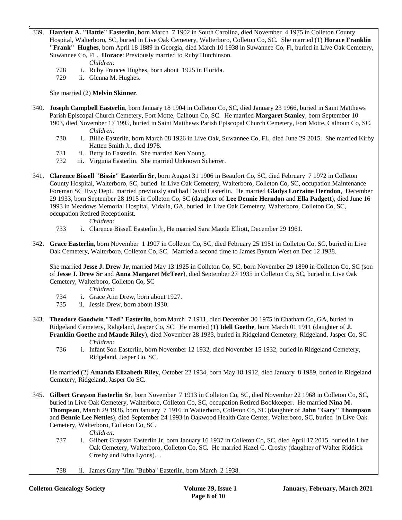339. **Harriett A. "Hattie" Easterlin**, born March 7 1902 in South Carolina, died November 4 1975 in Colleton County Hospital, Walterboro, SC, buried in Live Oak Cemetery, Walterboro, Colleton Co, SC. She married (1) **Horace Franklin "Frank" Hughes**, born April 18 1889 in Georgia, died March 10 1938 in Suwannee Co, Fl, buried in Live Oak Cemetery, Suwannee Co, FL. **Horace**: Previously married to Ruby Hutchinson.

*Children:*

.

- 728 i. Ruby Frances Hughes, born about 1925 in Florida.
- 729 ii. Glenna M. Hughes.

She married (2) **Melvin Skinner**.

- 340. **Joseph Campbell Easterlin**, born January 18 1904 in Colleton Co, SC, died January 23 1966, buried in Saint Matthews Parish Episcopal Church Cemetery, Fort Motte, Calhoun Co, SC. He married **Margaret Stanley**, born September 10 1903, died November 17 1995, buried in Saint Matthews Parish Episcopal Church Cemetery, Fort Motte, Calhoun Co, SC. *Children:*
	- 730 i. Billie Easterlin, born March 08 1926 in Live Oak, Suwannee Co, FL, died June 29 2015. She married Kirby Hatten Smith Jr, died 1978.
	- 731 ii. Betty Jo Easterlin. She married Ken Young.
	- 732 iii. Virginia Easterlin. She married Unknown Scherrer.
- 341. **Clarence Bissell "Bissie" Easterlin Sr**, born August 31 1906 in Beaufort Co, SC, died February 7 1972 in Colleton County Hospital, Walterboro, SC, buried in Live Oak Cemetery, Walterboro, Colleton Co, SC, occupation Maintenance Foreman SC Hwy Dept. married previously and had David Easterlin. He married **Gladys Lorraine Herndon**, December 29 1933, born September 28 1915 in Colleton Co, SC (daughter of **Lee Dennie Herndon** and **Ella Padgett**), died June 16 1993 in Meadows Memorial Hospital, Vidalia, GA, buried in Live Oak Cemetery, Walterboro, Colleton Co, SC, occupation Retired Receptionist.

*Children:*

- 733 i. Clarence Bissell Easterlin Jr, He married Sara Maude Elliott, December 29 1961.
- 342. **Grace Easterlin**, born November 1 1907 in Colleton Co, SC, died February 25 1951 in Colleton Co, SC, buried in Live Oak Cemetery, Walterboro, Colleton Co, SC. Married a second time to James Bynum West on Dec 12 1938.

She married **Jesse J. Drew Jr**, married May 13 1925 in Colleton Co, SC, born November 29 1890 in Colleton Co, SC (son of **Jesse J. Drew Sr** and **Anna Margaret McTeer**), died September 27 1935 in Colleton Co, SC, buried in Live Oak Cemetery, Walterboro, Colleton Co, SC

*Children:*

- 734 i. Grace Ann Drew, born about 1927.
- 735 ii. Jessie Drew, born about 1930.
- 343. **Theodore Goodwin "Ted" Easterlin**, born March 7 1911, died December 30 1975 in Chatham Co, GA, buried in Ridgeland Cemetery, Ridgeland, Jasper Co, SC. He married (1) **Idell Goethe**, born March 01 1911 (daughter of **J. Franklin Goethe** and **Maude Riley**), died November 28 1933, buried in Ridgeland Cemetery, Ridgeland, Jasper Co, SC *Children:*
	- 736 i. Infant Son Easterlin, born November 12 1932, died November 15 1932, buried in Ridgeland Cemetery, Ridgeland, Jasper Co, SC.

He married (2) **Amanda Elizabeth Riley**, October 22 1934, born May 18 1912, died January 8 1989, buried in Ridgeland Cemetery, Ridgeland, Jasper Co SC.

345. **Gilbert Grayson Easterlin Sr**, born November 7 1913 in Colleton Co, SC, died November 22 1968 in Colleton Co, SC, buried in Live Oak Cemetery, Walterboro, Colleton Co, SC, occupation Retired Bookkeeper. He married **Nina M. Thompson**, March 29 1936, born January 7 1916 in Walterboro, Colleton Co, SC (daughter of **John "Gary" Thompson** and **Bennie Lee Nettles**), died September 24 1993 in Oakwood Health Care Center, Walterboro, SC, buried in Live Oak Cemetery, Walterboro, Colleton Co, SC.

- 737 i. Gilbert Grayson Easterlin Jr, born January 16 1937 in Colleton Co, SC, died April 17 2015, buried in Live Oak Cemetery, Walterboro, Colleton Co, SC. He married Hazel C. Crosby (daughter of Walter Riddick Crosby and Edna Lyons). .
- 738 ii. James Gary "Jim "Bubba" Easterlin, born March 2 1938.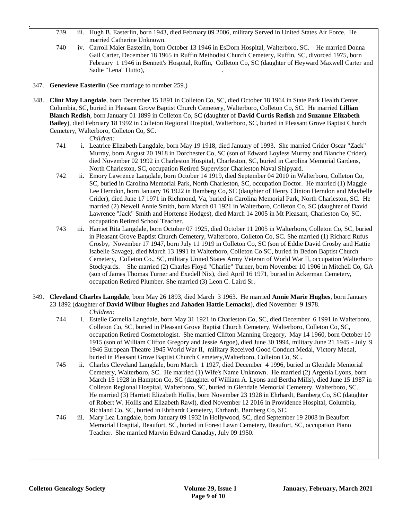- 739 iii. Hugh B. Easterlin, born 1943, died February 09 2006, military Served in United States Air Force. He married Catherine Unknown.
- 740 iv. Carroll Maier Easterlin, born October 13 1946 in EsDorn Hospital, Walterboro, SC. He married Donna Gail Carter, December 18 1965 in Ruffin Methodist Church Cemetery, Ruffin, SC, divorced 1975, born February 1 1946 in Bennett's Hospital, Ruffin, Colleton Co, SC (daughter of Heyward Maxwell Carter and Sadie "Lena" Hutto), .
- 347. **Genevieve Easterlin** (See marriage to number 259.)
- 348. **Clint May Langdale**, born December 15 1891 in Colleton Co, SC, died October 18 1964 in State Park Health Center, Columbia, SC, buried in Pleasant Grove Baptist Church Cemetery, Walterboro, Colleton Co, SC. He married **Lillian Blanch Redish**, born January 01 1899 in Colleton Co, SC (daughter of **David Curtis Redish** and **Suzanne Elizabeth Bailey**), died February 18 1992 in Colleton Regional Hospital, Walterboro, SC, buried in Pleasant Grove Baptist Church Cemetery, Walterboro, Colleton Co, SC.

*Children:*

.

- 741 i. Leatrice Elizabeth Langdale, born May 19 1918, died January of 1993. She married Crider Oscar "Zack" Murray, born August 20 1918 in Dorchester Co, SC (son of Edward Loyless Murray and Blanche Crider), died November 02 1992 in Charleston Hospital, Charleston, SC, buried in Carolina Memorial Gardens, North Charleston, SC, occupation Retired Supervisor Charleston Naval Shipyard.
- 742 ii. Emory Lawrence Langdale, born October 14 1919, died September 04 2010 in Walterboro, Colleton Co, SC, buried in Carolina Memorial Park, North Charleston, SC, occupation Doctor. He married (1) Maggie Lee Herndon, born January 16 1922 in Bamberg Co, SC (daughter of Henry Clinton Herndon and Maybelle Crider), died June 17 1971 in Richmond, Va, buried in Carolina Memorial Park, North Charleston, SC. He married (2) Newell Annie Smith, born March 01 1921 in Walterboro, Colleton Co, SC (daughter of David Lawrence "Jack" Smith and Hortense Hodges), died March 14 2005 in Mt Pleasant, Charleston Co, SC, occupation Retired School Teacher.
- 743 iii. Harriet Rita Langdale, born October 07 1925, died October 11 2005 in Walterboro, Colleton Co, SC, buried in Pleasant Grove Baptist Church Cemetery, Walterboro, Colleton Co, SC. She married (1) Richard Rufus Crosby, November 17 1947, born July 11 1919 in Colleton Co, SC (son of Eddie David Crosby and Hattie Isabelle Savage), died March 13 1991 in Walterboro, Colleton Co SC, buried in Bedon Baptist Church Cemetery, Colleton Co., SC, military United States Army Veteran of World War II, occupation Walterboro Stockyards. She married (2) Charles Floyd "Charlie" Turner, born November 10 1906 in Mitchell Co, GA (son of James Thomas Turner and Exedell Nix), died April 16 1971, buried in Ackerman Cemetery, occupation Retired Plumber. She married (3) Leon C. Laird Sr.
- 349. **Cleveland Charles Langdale**, born May 26 1893, died March 3 1963. He married **Annie Marie Hughes**, born January 23 1892 (daughter of **David Wilbur Hughes** and **Jahaden Hattie Lemacks**), died November 9 1978.

- 744 i. Estelle Cornelia Langdale, born May 31 1921 in Charleston Co, SC, died December 6 1991 in Walterboro, Colleton Co, SC, buried in Pleasant Grove Baptist Church Cemetery, Walterboro, Colleton Co, SC, occupation Retired Cosmetologist. She married Clifton Manning Gregory, May 14 1960, born October 10 1915 (son of William Clifton Gregory and Jessie Argoe), died June 30 1994, military June 21 1945 - July 9 1946 European Theatre 1945 World War II, military Received Good Conduct Medal, Victory Medal, buried in Pleasant Grove Baptist Church Cemetery,Walterboro, Colleton Co, SC.
- 745 ii. Charles Cleveland Langdale, born March 1 1927, died December 4 1996, buried in Glendale Memorial Cemetery, Walterboro, SC. He married (1) Wife's Name Unknown. He married (2) Argenia Lyons, born March 15 1928 in Hampton Co, SC (daughter of William A. Lyons and Bertha Mills), died June 15 1987 in Colleton Regional Hospital, Walterboro, SC, buried in Glendale Memorial Cemetery, Walterboro, SC. He married (3) Harriett Elizabeth Hollis, born November 23 1928 in Ehrhardt, Bamberg Co, SC (daughter of Robert W. Hollis and Elizabeth Rawl), died November 12 2016 in Providence Hospital, Columbia, Richland Co, SC, buried in Ehrhardt Cemetery, Ehrhardt, Bamberg Co, SC.
- 746 iii. Mary Lea Langdale, born January 09 1932 in Hollywood, SC, died September 19 2008 in Beaufort Memorial Hospital, Beaufort, SC, buried in Forest Lawn Cemetery, Beaufort, SC, occupation Piano Teacher. She married Marvin Edward Canaday, July 09 1950.